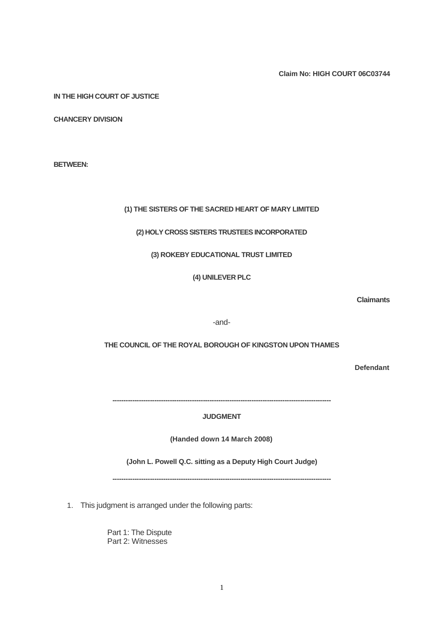**Claim No: HIGH COURT 06C03744**

**IN THE HIGH COURT OF JUSTICE**

**CHANCERY DIVISION**

**BETWEEN:**

## **(1) THE SISTERS OF THE SACRED HEART OF MARY LIMITED**

## **(2) HOLY CROSS SISTERS TRUSTEES INCORPORATED**

## **(3) ROKEBY EDUCATIONAL TRUST LIMITED**

**(4) UNILEVER PLC**

-and-

**THE COUNCIL OF THE ROYAL BOROUGH OF KINGSTON UPON THAMES**

**Defendant**

**---------------------------------------------------------------------------------------------------**

# **JUDGMENT**

**(Handed down 14 March 2008)**

**(John L. Powell Q.C. sitting as a Deputy High Court Judge)**

**---------------------------------------------------------------------------------------------------**

1. This judgment is arranged under the following parts:

Part 1: The Dispute Part 2: Witnesses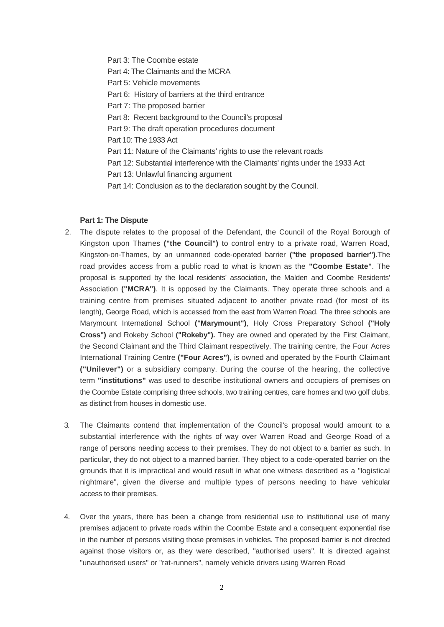Part 3: The Coombe estate

- Part 4: The Claimants and the MCRA
- Part 5: Vehicle movements
- Part 6: History of barriers at the third entrance
- Part 7: The proposed barrier
- Part 8: Recent background to the Council's proposal
- Part 9: The draft operation procedures document
- Part 10: The 1933 Act
- Part 11: Nature of the Claimants' rights to use the relevant roads
- Part 12: Substantial interference with the Claimants' rights under the 1933 Act
- Part 13: Unlawful financing argument
- Part 14: Conclusion as to the declaration sought by the Council.

## **Part 1: The Dispute**

- 2. The dispute relates to the proposal of the Defendant, the Council of the Royal Borough of Kingston upon Thames **("the Council")** to control entry to a private road, Warren Road, Kingston-on-Thames, by an unmanned code-operated barrier **("the proposed barrier")**.The road provides access from a public road to what is known as the **"Coombe Estate"**. The proposal is supported by the local residents' association, the Malden and Coombe Residents' Association **("MCRA")**. It is opposed by the Claimants. They operate three schools and a training centre from premises situated adjacent to another private road (for most of its length), George Road, which is accessed from the east from Warren Road. The three schools are Marymount International School **("Marymount")**, Holy Cross Preparatory School **("Holy Cross")** and Rokeby School **("Rokeby").** They are owned and operated by the First Claimant, the Second Claimant and the Third Claimant respectively. The training centre, the Four Acres International Training Centre **("Four Acres")**, is owned and operated by the Fourth Claimant **("Unilever")** or a subsidiary company. During the course of the hearing, the collective term **"institutions"** was used to describe institutional owners and occupiers of premises on the Coombe Estate comprising three schools, two training centres, care homes and two golf clubs, as distinct from houses in domestic use.
- 3. The Claimants contend that implementation of the Council's proposal would amount to a substantial interference with the rights of way over Warren Road and George Road of a range of persons needing access to their premises. They do not object to a barrier as such. In particular, they do not object to a manned barrier. They object to a code-operated barrier on the grounds that it is impractical and would result in what one witness described as a "logistical nightmare", given the diverse and multiple types of persons needing to have vehicular access to their premises.
- 4. Over the years, there has been a change from residential use to institutional use of many premises adjacent to private roads within the Coombe Estate and a consequent exponential rise in the number of persons visiting those premises in vehicles. The proposed barrier is not directed against those visitors or, as they were described, "authorised users". It is directed against "unauthorised users" or "rat-runners", namely vehicle drivers using Warren Road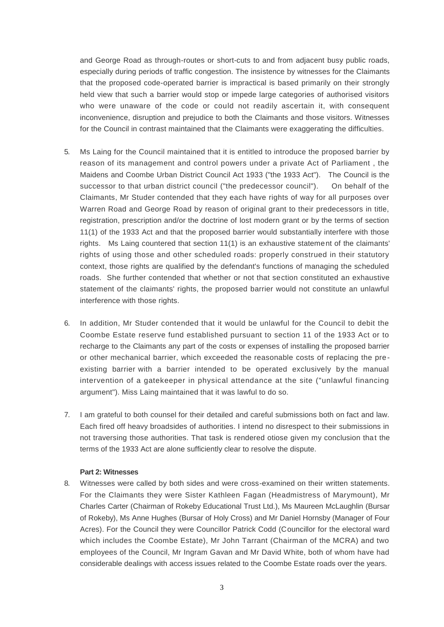and George Road as through-routes or short-cuts to and from adjacent busy public roads, especially during periods of traffic congestion. The insistence by witnesses for the Claimants that the proposed code-operated barrier is impractical is based primarily on their strongly held view that such a barrier would stop or impede large categories of authorised visitors who were unaware of the code or could not readily ascertain it, with consequent inconvenience, disruption and prejudice to both the Claimants and those visitors. Witnesses for the Council in contrast maintained that the Claimants were exaggerating the difficulties.

- 5. Ms Laing for the Council maintained that it is entitled to introduce the proposed barrier by reason of its management and control powers under a private Act of Parliament , the Maidens and Coombe Urban District Council Act 1933 ("the 1933 Act"). The Council is the successor to that urban district council ("the predecessor council"). On behalf of the Claimants, Mr Studer contended that they each have rights of way for all purposes over Warren Road and George Road by reason of original grant to their predecessors in title, registration, prescription and/or the doctrine of lost modern grant or by the terms of section 11(1) of the 1933 Act and that the proposed barrier would substantially interfere with those rights. Ms Laing countered that section 11(1) is an exhaustive statement of the claimants' rights of using those and other scheduled roads: properly construed in their statutory context, those rights are qualified by the defendant's functions of managing the scheduled roads. She further contended that whether or not that section constituted an exhaustive statement of the claimants' rights, the proposed barrier would not constitute an unlawful interference with those rights.
- 6. In addition, Mr Studer contended that it would be unlawful for the Council to debit the Coombe Estate reserve fund established pursuant to section 11 of the 1933 Act or to recharge to the Claimants any part of the costs or expenses of installing the proposed barrier or other mechanical barrier, which exceeded the reasonable costs of replacing the pre existing barrier with a barrier intended to be operated exclusively by the manual intervention of a gatekeeper in physical attendance at the site ("unlawful financing argument"). Miss Laing maintained that it was lawful to do so.
- 7. I am grateful to both counsel for their detailed and careful submissions both on fact and law. Each fired off heavy broadsides of authorities. I intend no disrespect to their submissions in not traversing those authorities. That task is rendered otiose given my conclusion that the terms of the 1933 Act are alone sufficiently clear to resolve the dispute.

# **Part 2: Witnesses**

8. Witnesses were called by both sides and were cross-examined on their written statements. For the Claimants they were Sister Kathleen Fagan (Headmistress of Marymount), Mr Charles Carter (Chairman of Rokeby Educational Trust Ltd.), Ms Maureen McLaughlin (Bursar of Rokeby), Ms Anne Hughes (Bursar of Holy Cross) and Mr Daniel Hornsby (Manager of Four Acres). For the Council they were Councillor Patrick Codd (Councillor for the electoral ward which includes the Coombe Estate), Mr John Tarrant (Chairman of the MCRA) and two employees of the Council, Mr Ingram Gavan and Mr David White, both of whom have had considerable dealings with access issues related to the Coombe Estate roads over the years.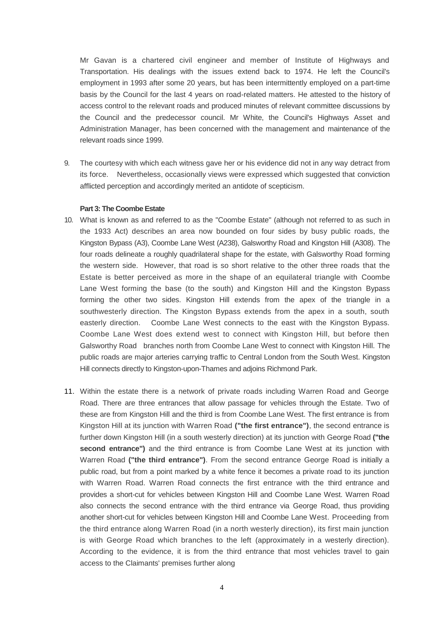Mr Gavan is a chartered civil engineer and member of Institute of Highways and Transportation. His dealings with the issues extend back to 1974. He left the Council's employment in 1993 after some 20 years, but has been intermittently employed on a part-time basis by the Council for the last 4 years on road-related matters. He attested to the history of access control to the relevant roads and produced minutes of relevant committee discussions by the Council and the predecessor council. Mr White, the Council's Highways Asset and Administration Manager, has been concerned with the management and maintenance of the relevant roads since 1999.

9. The courtesy with which each witness gave her or his evidence did not in any way detract from its force. Nevertheless, occasionally views were expressed which suggested that conviction afflicted perception and accordingly merited an antidote of scepticism.

# **Part 3: The Coombe Estate**

- 10. What is known as and referred to as the "Coombe Estate" (although not referred to as such in the 1933 Act) describes an area now bounded on four sides by busy public roads, the Kingston Bypass (A3), Coombe Lane West (A238), Galsworthy Road and Kingston Hill (A308). The four roads delineate a roughly quadrilateral shape for the estate, with Galsworthy Road forming the western side. However, that road is so short relative to the other three roads that the Estate is better perceived as more in the shape of an equilateral triangle with Coombe Lane West forming the base (to the south) and Kingston Hill and the Kingston Bypass forming the other two sides. Kingston Hill extends from the apex of the triangle in a southwesterly direction. The Kingston Bypass extends from the apex in a south, south easterly direction. Coombe Lane West connects to the east with the Kingston Bypass. Coombe Lane West does extend west to connect with Kingston Hill, but before then Galsworthy Road branches north from Coombe Lane West to connect with Kingston Hill. The public roads are major arteries carrying traffic to Central London from the South West. Kingston Hill connects directly to Kingston-upon-Thames and adjoins Richmond Park.
- 11. Within the estate there is a network of private roads including Warren Road and George Road. There are three entrances that allow passage for vehicles through the Estate. Two of these are from Kingston Hill and the third is from Coombe Lane West. The first entrance is from Kingston Hill at its junction with Warren Road **("the first entrance")**, the second entrance is further down Kingston Hill (in a south westerly direction) at its junction with George Road **("the second entrance")** and the third entrance is from Coombe Lane West at its junction with Warren Road **("the third entrance")**. From the second entrance George Road is initially a public road, but from a point marked by a white fence it becomes a private road to its junction with Warren Road. Warren Road connects the first entrance with the third entrance and provides a short-cut for vehicles between Kingston Hill and Coombe Lane West. Warren Road also connects the second entrance with the third entrance via George Road, thus providing another short-cut for vehicles between Kingston Hill and Coombe Lane West. Proceeding from the third entrance along Warren Road (in a north westerly direction), its first main junction is with George Road which branches to the left (approximately in a westerly direction). According to the evidence, it is from the third entrance that most vehicles travel to gain access to the Claimants' premises further along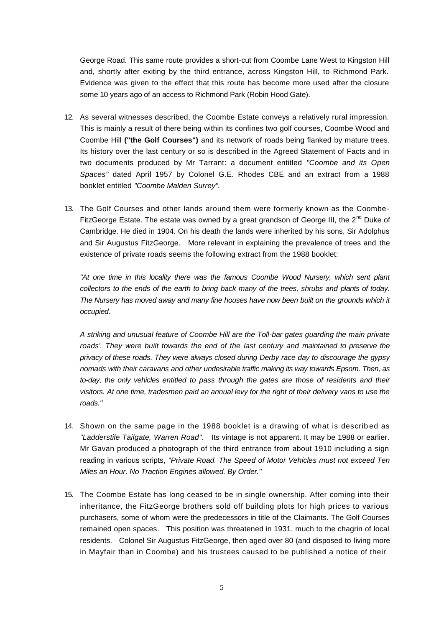George Road. This same route provides a short-cut from Coombe Lane West to Kingston Hill and, shortly after exiting by the third entrance, across Kingston Hill, to Richmond Park. Evidence was given to the effect that this route has become more used after the closure some 10 years ago of an access to Richmond Park (Robin Hood Gate).

- 12. As several witnesses described, the Coombe Estate conveys a relatively rural impression. This is mainly a result of there being within its confines two golf courses, Coombe Wood and Coombe Hill **("the Golf Courses")** and its network of roads being flanked by mature trees. Its history over the last century or so is described in the Agreed Statement of Facts and in two documents produced by Mr Tarrant: a document entitled *"Coombe and its Open Spaces"* dated April 1957 by Colonel G.E. Rhodes CBE and an extract from a 1988 booklet entitled *"Coombe Malden Surrey".*
- 13. The Golf Courses and other lands around them were formerly known as the Coombe FitzGeorge Estate. The estate was owned by a great grandson of George III, the  $2^{nd}$  Duke of Cambridge. He died in 1904. On his death the lands were inherited by his sons, Sir Adolphus and Sir Augustus FitzGeorge. More relevant in explaining the prevalence of trees and the existence of private roads seems the following extract from the 1988 booklet:

*"At one time in this locality there was the famous Coombe Wood Nursery, which sent plant collectors to the ends of the earth to bring back many of the trees, shrubs and plants of today. The Nursery has moved away and many fine houses have now been built on the grounds which it occupied.*

*A striking and unusual feature of Coombe Hill are the Toll-bar gates guarding the main private roads'. They were built towards the end of the last century and maintained to preserve the privacy of these roads. They were always closed during Derby race day to discourage the gypsy nomads with their caravans and other undesirable traffic making its way towards Epsom. Then, as to-day, the only vehicles entitled to pass through the gates are those of residents and their visitors. At one time, tradesmen paid an annual levy for the right of their delivery vans to use the roads."*

- 14. Shown on the same page in the 1988 booklet is a drawing of what is describ ed as *"Ladderstile Tailgate, Warren Road".* Its vintage is not apparent. It may be 1988 or earlier. Mr Gavan produced a photograph of the third entrance from about 1910 including a sign reading in various scripts, *"Private Road. The Speed of Motor Vehicles must not exceed Ten Miles an Hour. No Traction Engines allowed. By Order."*
- 15. The Coombe Estate has long ceased to be in single ownership. After coming into their inheritance, the FitzGeorge brothers sold off building plots for high prices to various purchasers, some of whom were the predecessors in title of the Claimants. The Golf Courses remained open spaces. This position was threatened in 1931, much to the chagrin of local residents. Colonel Sir Augustus FitzGeorge, then aged over 80 (and disposed to living more in Mayfair than in Coombe) and his trustees caused to be published a notice of their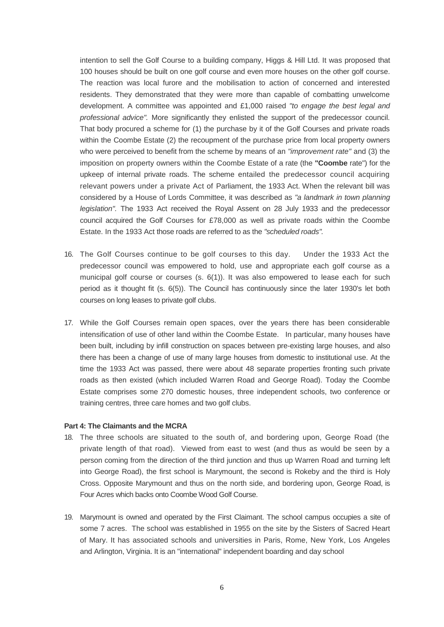intention to sell the Golf Course to a building company, Higgs & Hill Ltd. It was proposed that 100 houses should be built on one golf course and even more houses on the other golf course. The reaction was local furore and the mobilisation to action of concerned and interested residents. They demonstrated that they were more than capable of combatting unwelcome development. A committee was appointed and £1,000 raised *"to engage the best legal and professional advice".* More significantly they enlisted the support of the predecessor council. That body procured a scheme for (1) the purchase by it of the Golf Courses and private roads within the Coombe Estate (2) the recoupment of the purchase price from local property owners who were perceived to benefit from the scheme by means of an *"improvement rate"* and (3) the imposition on property owners within the Coombe Estate of a rate (the **"Coombe** rate") for the upkeep of internal private roads. The scheme entailed the predecessor council acquiring relevant powers under a private Act of Parliament, the 1933 Act. When the relevant bill was considered by a House of Lords Committee, it was described as *"a landmark in town planning legislation".* The 1933 Act received the Royal Assent on 28 July 1933 and the predecessor council acquired the Golf Courses for £78,000 as well as private roads within the Coombe Estate. In the 1933 Act those roads are referred to as the *"scheduled roads".*

- 16. The Golf Courses continue to be golf courses to this day. Under the 1933 Act the predecessor council was empowered to hold, use and appropriate each golf course as a municipal golf course or courses  $(s, 6(1))$ . It was also empowered to lease each for such period as it thought fit (s. 6(5)). The Council has continuously since the later 1930's let both courses on long leases to private golf clubs.
- 17. While the Golf Courses remain open spaces, over the years there has been considerable intensification of use of other land within the Coombe Estate. In particular, many houses have been built, including by infill construction on spaces between pre-existing large houses, and also there has been a change of use of many large houses from domestic to institutional use. At the time the 1933 Act was passed, there were about 48 separate properties fronting such private roads as then existed (which included Warren Road and George Road). Today the Coombe Estate comprises some 270 domestic houses, three independent schools, two conference or training centres, three care homes and two golf clubs.

#### **Part 4: The Claimants and the MCRA**

- 18. The three schools are situated to the south of, and bordering upon, George Road (the private length of that road). Viewed from east to west (and thus as would be seen by a person coming from the direction of the third junction and thus up Warren Road and turning left into George Road), the first school is Marymount, the second is Rokeby and the third is Holy Cross. Opposite Marymount and thus on the north side, and bordering upon, George Road, is Four Acres which backs onto Coombe Wood Golf Course.
- 19. Marymount is owned and operated by the First Claimant. The school campus occupies a site of some 7 acres. The school was established in 1955 on the site by the Sisters of Sacred Heart of Mary. It has associated schools and universities in Paris, Rome, New York, Los Angeles and Arlington, Virginia. It is an "international" independent boarding and day school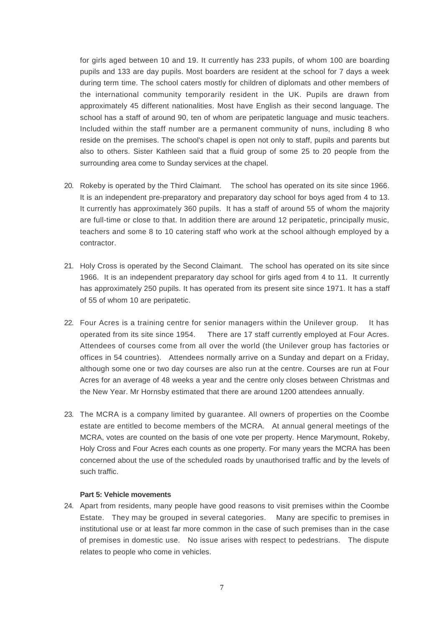for girls aged between 10 and 19. It currently has 233 pupils, of whom 100 are boarding pupils and 133 are day pupils. Most boarders are resident at the school for 7 days a week during term time. The school caters mostly for children of diplomats and other members of the international community temporarily resident in the UK. Pupils are drawn from approximately 45 different nationalities. Most have English as their second language. The school has a staff of around 90, ten of whom are peripatetic language and music teachers. Included within the staff number are a permanent community of nuns, including 8 who reside on the premises. The school's chapel is open not only to staff, pupils and parents but also to others. Sister Kathleen said that a fluid group of some 25 to 20 people from the surrounding area come to Sunday services at the chapel.

- 20. Rokeby is operated by the Third Claimant. The school has operated on its site since 1966. It is an independent pre-preparatory and preparatory day school for boys aged from 4 to 13. It currently has approximately 360 pupils. It has a staff of around 55 of whom the majority are full-time or close to that. In addition there are around 12 peripatetic, principally music, teachers and some 8 to 10 catering staff who work at the school although employed by a contractor.
- 21. Holy Cross is operated by the Second Claimant. The school has operated on its site since 1966. It is an independent preparatory day school for girls aged from 4 to 11. It currently has approximately 250 pupils. It has operated from its present site since 1971. It has a staff of 55 of whom 10 are peripatetic.
- 22. Four Acres is a training centre for senior managers within the Unilever group. It has operated from its site since 1954. There are 17 staff currently employed at Four Acres. Attendees of courses come from all over the world (the Unilever group has factories or offices in 54 countries). Attendees normally arrive on a Sunday and depart on a Friday, although some one or two day courses are also run at the centre. Courses are run at Four Acres for an average of 48 weeks a year and the centre only closes between Christmas and the New Year. Mr Hornsby estimated that there are around 1200 attendees annually.
- 23. The MCRA is a company limited by guarantee. All owners of properties on the Coombe estate are entitled to become members of the MCRA. At annual general meetings of the MCRA, votes are counted on the basis of one vote per property. Hence Marymount, Rokeby, Holy Cross and Four Acres each counts as one property. For many years the MCRA has been concerned about the use of the scheduled roads by unauthorised traffic and by the levels of such traffic.

# **Part 5: Vehicle movements**

24. Apart from residents, many people have good reasons to visit premises within the Coombe Estate. They may be grouped in several categories. Many are specific to premises in institutional use or at least far more common in the case of such premises than in the case of premises in domestic use. No issue arises with respect to pedestrians. The dispute relates to people who come in vehicles.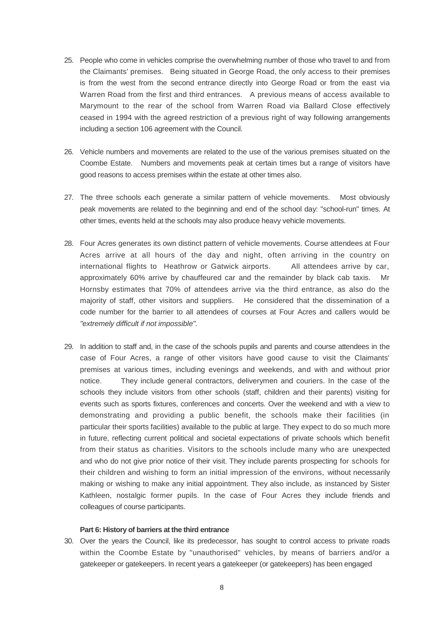- 25. People who come in vehicles comprise the overwhelming number of those who travel to and from the Claimants' premises. Being situated in George Road, the only access to their premises is from the west from the second entrance directly into George Road or from the east via Warren Road from the first and third entrances. A previous means of access available to Marymount to the rear of the school from Warren Road via Ballard Close effectively ceased in 1994 with the agreed restriction of a previous right of way following arrangements including a section 106 agreement with the Council.
- 26. Vehicle numbers and movements are related to the use of the various premises situated on the Coombe Estate. Numbers and movements peak at certain times but a range of visitors have good reasons to access premises within the estate at other times also.
- 27. The three schools each generate a similar pattern of vehicle movements. Most obviously peak movements are related to the beginning and end of the school day: "school-run" times. At other times, events held at the schools may also produce heavy vehicle movements.
- 28. Four Acres generates its own distinct pattern of vehicle movements. Course attendees at Four Acres arrive at all hours of the day and night, often arriving in the country on international flights to Heathrow or Gatwick airports. All attendees arrive by car, approximately 60% arrive by chauffeured car and the remainder by black cab taxis. Hornsby estimates that 70% of attendees arrive via the third entrance, as also do the majority of staff, other visitors and suppliers. He considered that the dissemination of a code number for the barrier to all attendees of courses at Four Acres and callers would be *"extremely difficult if not impossible".*
- 29. In addition to staff and, in the case of the schools pupils and parents and course attendees in the case of Four Acres, a range of other visitors have good cause to visit the Claimants' premises at various times, including evenings and weekends, and with and without prior notice. They include general contractors, deliverymen and couriers. In the case of the schools they include visitors from other schools (staff, children and their parents) visiting for events such as sports fixtures, conferences and concerts. Over the weekend and with a view to demonstrating and providing a public benefit, the schools make their facilities (in particular their sports facilities) available to the public at large. They expect to do so much more in future, reflecting current political and societal expectations of private schools which benefit from their status as charities. Visitors to the schools include many who are unexpected and who do not give prior notice of their visit. They include parents prospecting for schools for their children and wishing to form an initial impression of the environs, without necessarily making or wishing to make any initial appointment. They also include, as instanced by Sister Kathleen, nostalgic former pupils. In the case of Four Acres they include friends and colleagues of course participants.

## **Part 6: History of barriers at the third entrance**

30. Over the years the Council, like its predecessor, has sought to control access to private roads within the Coombe Estate by "unauthorised" vehicles, by means of barriers and/or a gatekeeper or gatekeepers. In recent years a gatekeeper (or gatekeepers) has been engaged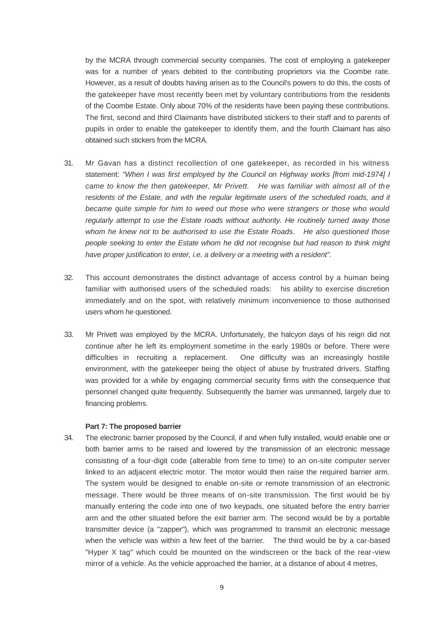by the MCRA through commercial security companies. The cost of employing a gatekeeper was for a number of years debited to the contributing proprietors via the Coombe rate. However, as a result of doubts having arisen as to the Council's powers to do this, the costs of the gatekeeper have most recently been met by voluntary contributions from the residents of the Coombe Estate. Only about 70% of the residents have been paying these contributions. The first, second and third Claimants have distributed stickers to their staff and to parents of pupils in order to enable the gatekeeper to identify them, and the fourth Claimant has also obtained such stickers from the MCRA.

- 31. Mr Gavan has a distinct recollection of one gatekeeper, as recorded in his witness statement: *"When I was first employed by the Council on Highway works [from mid-1974] I came to know the then gatekeeper, Mr Privett. He was familiar with almost all of the residents of the Estate, and with the regular legitimate users of the scheduled roads, and it became quite simple for him to weed out those who were strangers or those who would regularly attempt to use the Estate roads without authority. He routinely turned away those whom he knew not to be authorised to use the Estate Roads. He also questioned those people seeking to enter the Estate whom he did not recognise but had reason to think might have proper justification to enter, i.e. a delivery or a meeting with a resident".*
- 32. This account demonstrates the distinct advantage of access control by a human being familiar with authorised users of the scheduled roads: his ability to exercise discretion immediately and on the spot, with relatively minimum inconvenience to those authorised users whom he questioned.
- 33. Mr Privett was employed by the MCRA. Unfortunately, the halcyon days of his reign did not continue after he left its employment sometime in the early 1980s or before. There were difficulties in recruiting a replacement. One difficulty was an increasingly hostile environment, with the gatekeeper being the object of abuse by frustrated drivers. Staffing was provided for a while by engaging commercial security firms with the consequence that personnel changed quite frequently. Subsequently the barrier was unmanned, largely due to financing problems.

#### **Part 7: The proposed barrier**

34. The electronic barrier proposed by the Council, if and when fully installed, would enable one or both barrier arms to be raised and lowered by the transmission of an electronic message consisting of a four-digit code (alterable from time to time) to an on-site computer server linked to an adjacent electric motor. The motor would then raise the required barrier arm. The system would be designed to enable on-site or remote transmission of an electronic message. There would be three means of on-site transmission. The first would be by manually entering the code into one of two keypads, one situated before the entry barrier arm and the other situated before the exit barrier arm. The second would be by a portable transmitter device (a "zapper"), which was programmed to transmit an electronic message when the vehicle was within a few feet of the barrier. The third would be by a car-based "Hyper X tag" which could be mounted on the windscreen or the back of the rear-view mirror of a vehicle. As the vehicle approached the barrier, at a distance of about 4 metres,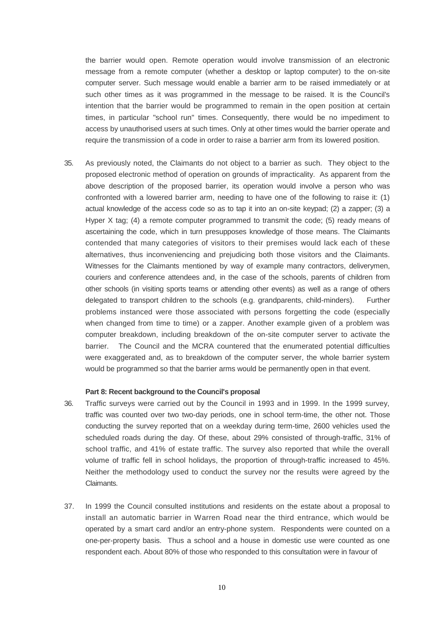the barrier would open. Remote operation would involve transmission of an electronic message from a remote computer (whether a desktop or laptop computer) to the on-site computer server. Such message would enable a barrier arm to be raised immediately or at such other times as it was programmed in the message to be raised. It is the Council's intention that the barrier would be programmed to remain in the open position at certain times, in particular "school run" times. Consequently, there would be no impediment to access by unauthorised users at such times. Only at other times would the barrier operate and require the transmission of a code in order to raise a barrier arm from its lowered position.

35. As previously noted, the Claimants do not object to a barrier as such. They object to the proposed electronic method of operation on grounds of impracticality. As apparent from the above description of the proposed barrier, its operation would involve a person who was confronted with a lowered barrier arm, needing to have one of the following to raise it: (1) actual knowledge of the access code so as to tap it into an on-site keypad; (2) a zapper; (3) a Hyper X tag; (4) a remote computer programmed to transmit the code; (5) ready means of ascertaining the code, which in turn presupposes knowledge of those means. The Claimants contended that many categories of visitors to their premises would lack each of these alternatives, thus inconveniencing and prejudicing both those visitors and the Claimants. Witnesses for the Claimants mentioned by way of example many contractors, deliverymen, couriers and conference attendees and, in the case of the schools, parents of children from other schools (in visiting sports teams or attending other events) as well as a range of others delegated to transport children to the schools (e.g. grandparents, child-minders). Further problems instanced were those associated with persons forgetting the code (especially when changed from time to time) or a zapper. Another example given of a problem was computer breakdown, including breakdown of the on-site computer server to activate the barrier. The Council and the MCRA countered that the enumerated potential difficulties were exaggerated and, as to breakdown of the computer server, the whole barrier system would be programmed so that the barrier arms would be permanently open in that event.

### **Part 8: Recent background to the Council's proposal**

- 36. Traffic surveys were carried out by the Council in 1993 and in 1999. In the 1999 survey, traffic was counted over two two-day periods, one in school term-time, the other not. Those conducting the survey reported that on a weekday during term-time, 2600 vehicles used the scheduled roads during the day. Of these, about 29% consisted of through-traffic, 31% of school traffic, and 41% of estate traffic. The survey also reported that while the overall volume of traffic fell in school holidays, the proportion of through-traffic increased to 45%. Neither the methodology used to conduct the survey nor the results were agreed by the Claimants.
- 37. In 1999 the Council consulted institutions and residents on the estate about a proposal to install an automatic barrier in Warren Road near the third entrance, which would be operated by a smart card and/or an entry-phone system. Respondents were counted on a one-per-property basis. Thus a school and a house in domestic use were counted as one respondent each. About 80% of those who responded to this consultation were in favour of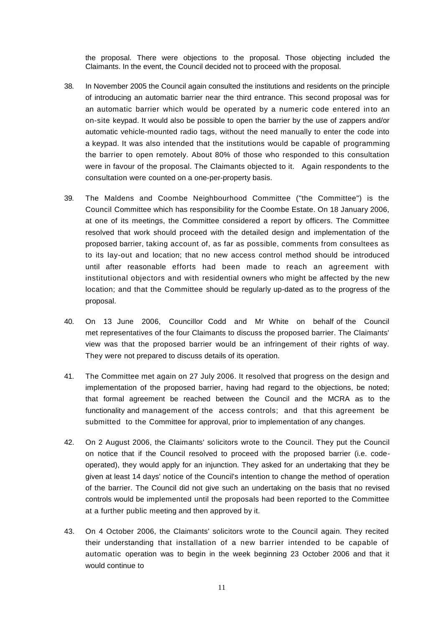the proposal. There were objections to the proposal. Those objecting included the Claimants. In the event, the Council decided not to proceed with the proposal.

- 38. In November 2005 the Council again consulted the institutions and residents on the principle of introducing an automatic barrier near the third entrance. This second proposal was for an automatic barrier which would be operated by a numeric code entered into an on-site keypad. It would also be possible to open the barrier by the use of zappers and/or automatic vehicle-mounted radio tags, without the need manually to enter the code into a keypad. It was also intended that the institutions would be capable of programming the barrier to open remotely. About 80% of those who responded to this consultation were in favour of the proposal. The Claimants objected to it. Again respondents to the consultation were counted on a one-per-property basis.
- 39. The Maldens and Coombe Neighbourhood Committee ("the Committee") is the Council Committee which has responsibility for the Coombe Estate. On 18 January 2006, at one of its meetings, the Committee considered a report by officers. The Committee resolved that work should proceed with the detailed design and implementation of the proposed barrier, taking account of, as far as possible, comments from consultees as to its lay-out and location; that no new access control method should be introduced until after reasonable efforts had been made to reach an agreement with institutional objectors and with residential owners who might be affected by the new location; and that the Committee should be regularly up-dated as to the progress of the proposal.
- 40. On 13 June 2006, Councillor Codd and Mr White on behalf of the Council met representatives of the four Claimants to discuss the proposed barrier. The Claimants' view was that the proposed barrier would be an infringement of their rights of way. They were not prepared to discuss details of its operation.
- 41. The Committee met again on 27 July 2006. It resolved that progress on the design and implementation of the proposed barrier, having had regard to the objections, be noted; that formal agreement be reached between the Council and the MCRA as to the functionality and management of the access controls; and that this agreement be submitted to the Committee for approval, prior to implementation of any changes.
- 42. On 2 August 2006, the Claimants' solicitors wrote to the Council. They put the Council on notice that if the Council resolved to proceed with the proposed barrier (i.e. codeoperated), they would apply for an injunction. They asked for an undertaking that they be given at least 14 days' notice of the Council's intention to change the method of operation of the barrier. The Council did not give such an undertaking on the basis that no revised controls would be implemented until the proposals had been reported to the Committee at a further public meeting and then approved by it.
- 43. On 4 October 2006, the Claimants' solicitors wrote to the Council again. They recited their understanding that installation of a new barrier intended to be capable of automatic operation was to begin in the week beginning 23 October 2006 and that it would continue to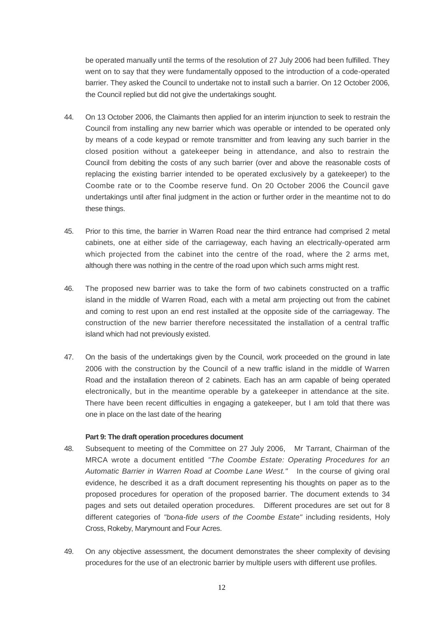be operated manually until the terms of the resolution of 27 July 2006 had been fulfilled. They went on to say that they were fundamentally opposed to the introduction of a code-operated barrier. They asked the Council to undertake not to install such a barrier. On 12 October 2006, the Council replied but did not give the undertakings sought.

- 44. On 13 October 2006, the Claimants then applied for an interim injunction to seek to restrain the Council from installing any new barrier which was operable or intended to be operated only by means of a code keypad or remote transmitter and from leaving any such barrier in the closed position without a gatekeeper being in attendance, and also to restrain the Council from debiting the costs of any such barrier (over and above the reasonable costs of replacing the existing barrier intended to be operated exclusively by a gatekeeper) to the Coombe rate or to the Coombe reserve fund. On 20 October 2006 the Council gave undertakings until after final judgment in the action or further order in the meantime not to do these things.
- 45. Prior to this time, the barrier in Warren Road near the third entrance had comprised 2 metal cabinets, one at either side of the carriageway, each having an electrically-operated arm which projected from the cabinet into the centre of the road, where the 2 arms met, although there was nothing in the centre of the road upon which such arms might rest.
- 46. The proposed new barrier was to take the form of two cabinets constructed on a traffic island in the middle of Warren Road, each with a metal arm projecting out from the cabinet and coming to rest upon an end rest installed at the opposite side of the carriageway. The construction of the new barrier therefore necessitated the installation of a central traffic island which had not previously existed.
- 47. On the basis of the undertakings given by the Council, work proceeded on the ground in late 2006 with the construction by the Council of a new traffic island in the middle of Warren Road and the installation thereon of 2 cabinets. Each has an arm capable of being operated electronically, but in the meantime operable by a gatekeeper in attendance at the site. There have been recent difficulties in engaging a gatekeeper, but I am told that there was one in place on the last date of the hearing

# **Part 9: The draft operation procedures document**

- 48. Subsequent to meeting of the Committee on 27 July 2006, Mr Tarrant, Chairman of the MRCA wrote a document entitled *"The Coombe Estate: Operating Procedures for an Automatic Barrier in Warren Road at Coombe Lane West."* In the course of giving oral evidence, he described it as a draft document representing his thoughts on paper as to the proposed procedures for operation of the proposed barrier. The document extends to 34 pages and sets out detailed operation procedures. Different procedures are set out for 8 different categories of *"bona-fide users of the Coombe Estate"* including residents, Holy Cross, Rokeby, Marymount and Four Acres.
- 49. On any objective assessment, the document demonstrates the sheer complexity of devising procedures for the use of an electronic barrier by multiple users with different use profiles.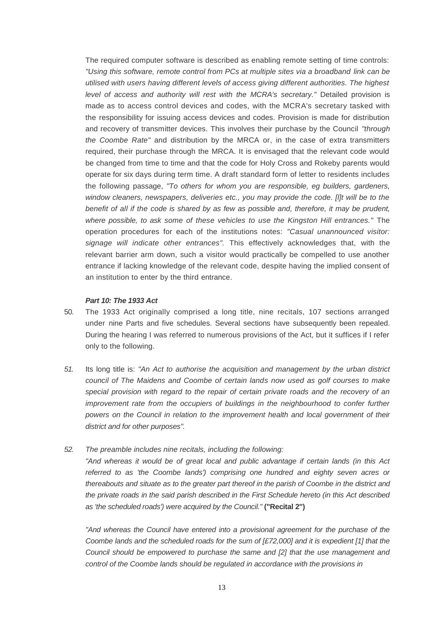The required computer software is described as enabling remote setting of time controls: *"Using this software, remote control from PCs at multiple sites via a broadband link can be utilised with users having different levels of access giving different authorities. The highest level of access and authority will rest with the MCRA's secretary."* Detailed provision is made as to access control devices and codes, with the MCRA's secretary tasked with the responsibility for issuing access devices and codes. Provision is made for distribution and recovery of transmitter devices. This involves their purchase by the Council *"through the Coombe Rate"* and distribution by the MRCA or, in the case of extra transmitters required, their purchase through the MRCA. It is envisaged that the relevant code would be changed from time to time and that the code for Holy Cross and Rokeby parents would operate for six days during term time. A draft standard form of letter to residents includes the following passage, *"To others for whom you are responsible, eg builders, gardeners, window cleaners, newspapers, deliveries etc., you may provide the code. [l]t will be to the benefit of all if the code is shared by as few as possible and, therefore, it may be prudent, where possible, to ask some of these vehicles to use the Kingston Hill entrances."* The operation procedures for each of the institutions notes: *"Casual unannounced visitor: signage will indicate other entrances".* This effectively acknowledges that, with the relevant barrier arm down, such a visitor would practically be compelled to use another entrance if lacking knowledge of the relevant code, despite having the implied consent of an institution to enter by the third entrance.

## *Part 10: The 1933 Act*

- 50. The 1933 Act originally comprised a long title, nine recitals, 107 sections arranged under nine Parts and five schedules. Several sections have subsequently been repealed. During the hearing I was referred to numerous provisions of the Act, but it suffices if I refer only to the following.
- *51.* Its long title is: *"An Act to authorise the acquisition and management by the urban district council of The Maidens and Coombe of certain lands now used as golf courses to make special provision with regard to the repair of certain private roads and the recovery of an improvement rate from the occupiers of buildings in the neighbourhood to confer further powers on the Council in relation to the improvement health and local government of their district and for other purposes".*
- *52. The preamble includes nine recitals, including the following: "And whereas it would be of great local and public advantage if certain lands (in this Act referred to as 'the Coombe lands') comprising one hundred and eighty seven acres or thereabouts and situate as to the greater part thereof in the parish of Coombe in the district and the private roads in the said parish described in the First Schedule hereto (in this Act described as 'the scheduled roads') were acquired by the Council."* **("Recital 2")**

*"And whereas the Council have entered into a provisional agreement for the purchase of the Coombe lands and the scheduled roads for the sum of [£72,000] and it is expedient [1] that the Council should be empowered to purchase the same and [2] that the use management and control of the Coombe lands should be regulated in accordance with the provisions in*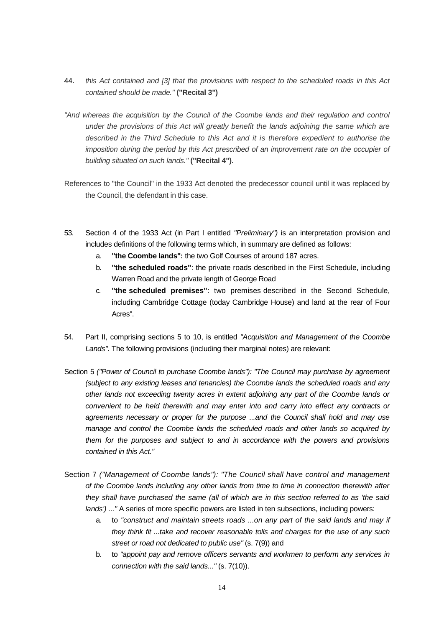- 44. *this Act contained and [3] that the provisions with respect to the scheduled roads in this Act contained should be made."* **("Recital 3")**
- *"And whereas the acquisition by the Council of the Coombe lands and their regulation and control under the provisions of this Act will greatly benefit the lands adjoining the same which are described in the Third Schedule to this Act and it is therefore expedient to authorise the imposition during the period by this Act prescribed of an improvement rate on the occupier of building situated on such lands."* **("Recital 4").**
- References to "the Council" in the 1933 Act denoted the predecessor council until it was replaced by the Council, the defendant in this case.
- 53. Section 4 of the 1933 Act (in Part I entitled *"Preliminary")* is an interpretation provision and includes definitions of the following terms which, in summary are defined as follows:
	- a. **"the Coombe lands":** the two Golf Courses of around 187 acres.
	- b. **"the scheduled roads"**: the private roads described in the First Schedule, including Warren Road and the private length of George Road
	- c. **"the scheduled premises"**: two premises described in the Second Schedule, including Cambridge Cottage (today Cambridge House) and land at the rear of Four Acres".
- 54. Part II, comprising sections 5 to 10, is entitled *"Acquisition and Management of the Coombe Lands".* The following provisions (including their marginal notes) are relevant:
- Section 5 *("Power of Council to purchase Coombe lands"): "The Council may purchase by agreement (subject to any existing leases and tenancies) the Coombe lands the scheduled roads and any other lands not exceeding twenty acres in extent adjoining any part of the Coombe lands or convenient to be held therewith and may enter into and carry into effect any contracts or agreements necessary or proper for the purpose ...and the Council shall hold and may use manage and control the Coombe lands the scheduled roads and other lands so acquired by them for the purposes and subject to and in accordance with the powers and provisions contained in this Act."*
- Section 7 *("Management of Coombe lands"): "The Council shall have control and management of the Coombe lands including any other lands from time to time in connection therewith after they shall have purchased the same (all of which are in this section referred to as 'the said lands') ..."* A series of more specific powers are listed in ten subsections, including powers:
	- a. to *"construct and maintain streets roads ...on any part of the said lands and may if they think fit ...take and recover reasonable tolls and charges for the use of any such street or road not dedicated to public use"* (s. 7(9)) and
	- b. to *"appoint pay and remove officers servants and workmen to perform any services in connection with the said lands..."* (s. 7(10)).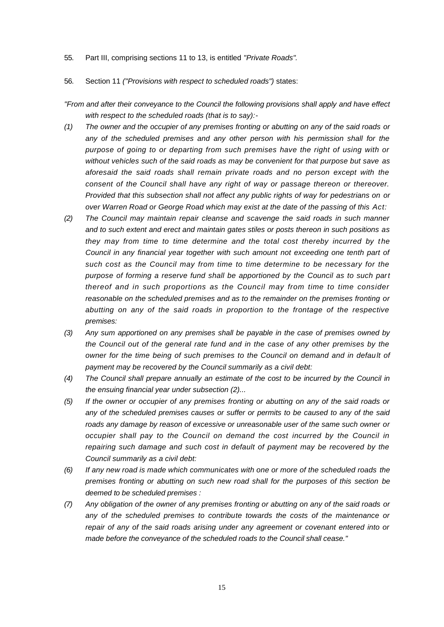55. Part III, comprising sections 11 to 13, is entitled *"Private Roads".*

## 56. Section 11 *("Provisions with respect to scheduled roads")* states:

- *"From and after their conveyance to the Council the following provisions shall apply and have effect with respect to the scheduled roads (that is to say):-*
- *(1) The owner and the occupier of any premises fronting or abutting on any of the said roads or any of the scheduled premises and any other person with his permission shall for the purpose of going to or departing from such premises have the right of using with or without vehicles such of the said roads as may be convenient for that purpose but save as aforesaid the said roads shall remain private roads and no person except with the consent of the Council shall have any right of way or passage thereon or thereover. Provided that this subsection shall not affect any public rights of way for pedestrians on or over Warren Road or George Road which may exist at the date of the passing of this Act:*
- *(2) The Council may maintain repair cleanse and scavenge the said roads in such manner and to such extent and erect and maintain gates stiles or posts thereon in such positions as they may from time to time determine and the total cost thereby incurred by the Council in any financial year together with such amount not exceeding one tenth part of such cost as the Council may from time to time determine to be necessary for the purpose of forming a reserve fund shall be apportioned by the Council as to such part thereof and in such proportions as the Council may from time to time consider reasonable on the scheduled premises and as to the remainder on the premises fronting or abutting on any of the said roads in proportion to the frontage of the respective premises:*
- *(3) Any sum apportioned on any premises shall be payable in the case of premises owned by the Council out of the general rate fund and in the case of any other premises by the owner for the time being of such premises to the Council on demand and in default of payment may be recovered by the Council summarily as a civil debt:*
- *(4) The Council shall prepare annually an estimate of the cost to be incurred by the Council in the ensuing financial year under subsection (2)...*
- *(5) If the owner or occupier of any premises fronting or abutting on any of the said roads or any of the scheduled premises causes or suffer or permits to be caused to any of the said roads any damage by reason of excessive or unreasonable user of the same such owner or occupier shall pay to the Council on demand the cost incurred by the Council in repairing such damage and such cost in default of payment may be recovered by the Council summarily as a civil debt:*
- *(6) If any new road is made which communicates with one or more of the scheduled roads the premises fronting or abutting on such new road shall for the purposes of this section be deemed to be scheduled premises :*
- *(7) Any obligation of the owner of any premises fronting or abutting on any of the said roads or any of the scheduled premises to contribute towards the costs of the maintenance or repair of any of the said roads arising under any agreement or covenant entered into or made before the conveyance of the scheduled roads to the Council shall cease."*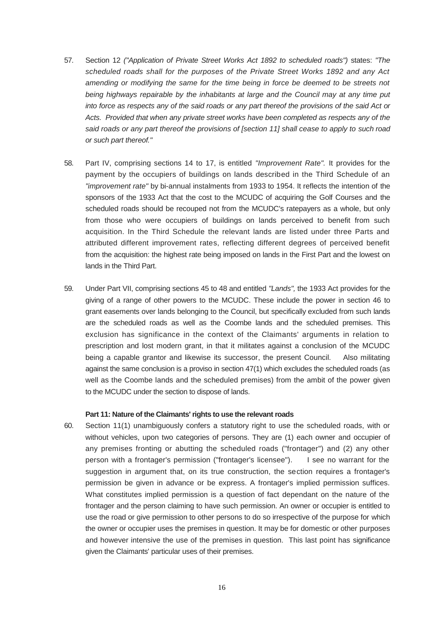- 57. Section 12 *("Application of Private Street Works Act 1892 to scheduled roads")* states: *"The scheduled roads shall for the purposes of the Private Street Works 1892 and any Act amending or modifying the same for the time being in force be deemed to be streets not being highways repairable by the inhabitants at large and the Council may at any time put into force as respects any of the said roads or any part thereof the provisions of the said Act or Acts. Provided that when any private street works have been completed as respects any of the*  said roads or any part thereof the provisions of *[section 11] shall cease to apply to such road or such part thereof."*
- 58. Part IV, comprising sections 14 to 17, is entitled *"Improvement Rate".* It provides for the payment by the occupiers of buildings on lands described in the Third Schedule of an *"improvement rate"* by bi-annual instalments from 1933 to 1954. It reflects the intention of the sponsors of the 1933 Act that the cost to the MCUDC of acquiring the Golf Courses and the scheduled roads should be recouped not from the MCUDC's ratepayers as a whole, but only from those who were occupiers of buildings on lands perceived to benefit from such acquisition. In the Third Schedule the relevant lands are listed under three Parts and attributed different improvement rates, reflecting different degrees of perceived benefit from the acquisition: the highest rate being imposed on lands in the First Part and the lowest on lands in the Third Part.
- 59. Under Part VII, comprising sections 45 to 48 and entitled *"Lands",* the 1933 Act provides for the giving of a range of other powers to the MCUDC. These include the power in section 46 to grant easements over lands belonging to the Council, but specifically excluded from such lands are the scheduled roads as well as the Coombe lands and the scheduled premises. This exclusion has significance in the context of the Claimants' arguments in relation to prescription and lost modern grant, in that it militates against a conclusion of the MCUDC being a capable grantor and likewise its successor, the present Council. Also militating against the same conclusion is a proviso in section 47(1) which excludes the scheduled roads (as well as the Coombe lands and the scheduled premises) from the ambit of the power given to the MCUDC under the section to dispose of lands.

## **Part 11: Nature of the Claimants' rights to use the relevant roads**

60. Section 11(1) unambiguously confers a statutory right to use the scheduled roads, with or without vehicles, upon two categories of persons. They are (1) each owner and occupier of any premises fronting or abutting the scheduled roads ("frontager") and (2) any other person with a frontager's permission ("frontager's licensee"). I see no warrant for the suggestion in argument that, on its true construction, the section requires a frontager's permission be given in advance or be express. A frontager's implied permission suffices. What constitutes implied permission is a question of fact dependant on the nature of the frontager and the person claiming to have such permission. An owner or occupier is entitled to use the road or give permission to other persons to do so irrespective of the purpose for which the owner or occupier uses the premises in question. It may be for domestic or other purposes and however intensive the use of the premises in question. This last point has significance given the Claimants' particular uses of their premises.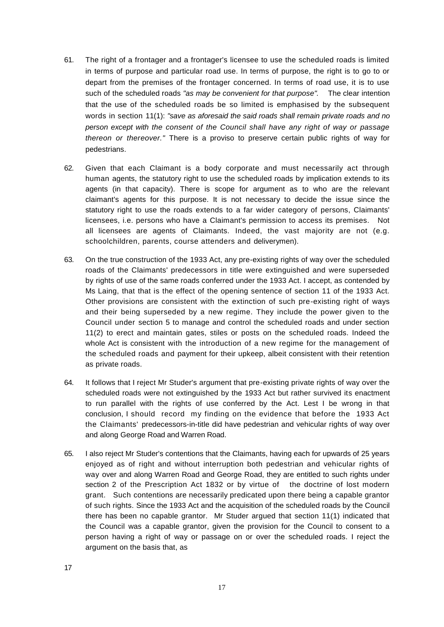- 61. The right of a frontager and a frontager's licensee to use the scheduled roads is limited in terms of purpose and particular road use. In terms of purpose, the right is to go to or depart from the premises of the frontager concerned. In terms of road use, it is to use such of the scheduled roads *"as may be convenient for that purpose".* The clear intention that the use of the scheduled roads be so limited is emphasised by the subsequent words in section 11(1): *"save as aforesaid the said roads shall remain private roads and no person except with the consent of the Council shall have any right of way or passage thereon or thereover."* There is a proviso to preserve certain public rights of way for pedestrians.
- 62. Given that each Claimant is a body corporate and must necessarily act through human agents, the statutory right to use the scheduled roads by implication extends to its agents (in that capacity). There is scope for argument as to who are the relevant claimant's agents for this purpose. It is not necessary to decide the issue since the statutory right to use the roads extends to a far wider category of persons, Claimants' licensees, i.e. persons who have a Claimant's permission to access its premises. Not all licensees are agents of Claimants. Indeed, the vast majority are not (e.g. schoolchildren, parents, course attenders and deliverymen).
- 63. On the true construction of the 1933 Act, any pre-existing rights of way over the scheduled roads of the Claimants' predecessors in title were extinguished and were superseded by rights of use of the same roads conferred under the 1933 Act. I accept, as contended by Ms Laing, that that is the effect of the opening sentence of section 11 of the 1933 Act. Other provisions are consistent with the extinction of such pre-existing right of ways and their being superseded by a new regime. They include the power given to the Council under section 5 to manage and control the scheduled roads and under section 11(2) to erect and maintain gates, stiles or posts on the scheduled roads. Indeed the whole Act is consistent with the introduction of a new regime for the management of the scheduled roads and payment for their upkeep, albeit consistent with their retention as private roads.
- 64. It follows that I reject Mr Studer's argument that pre-existing private rights of way over the scheduled roads were not extinguished by the 1933 Act but rather survived its enactment to run parallel with the rights of use conferred by the Act. Lest I be wrong in that conclusion, I should record my finding on the evidence that before the 1933 Act the Claimants' predecessors-in-title did have pedestrian and vehicular rights of way over and along George Road and Warren Road.
- 65. I also reject Mr Studer's contentions that the Claimants, having each for upwards of 25 years enjoyed as of right and without interruption both pedestrian and vehicular rights of way over and along Warren Road and George Road, they are entitled to such rights under section 2 of the Prescription Act 1832 or by virtue of the doctrine of lost modern grant. Such contentions are necessarily predicated upon there being a capable grantor of such rights. Since the 1933 Act and the acquisition of the scheduled roads by the Council there has been no capable grantor. Mr Studer argued that section 11(1) indicated that the Council was a capable grantor, given the provision for the Council to consent to a person having a right of way or passage on or over the scheduled roads. I reject the argument on the basis that, as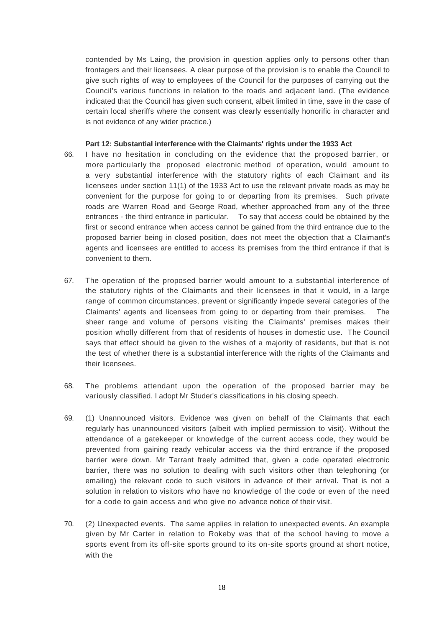contended by Ms Laing, the provision in question applies only to persons other than frontagers and their licensees. A clear purpose of the provision is to enable the Council to give such rights of way to employees of the Council for the purposes of carrying out the Council's various functions in relation to the roads and adjacent land. (The evidence indicated that the Council has given such consent, albeit limited in time, save in the case of certain local sheriffs where the consent was clearly essentially honorific in character and is not evidence of any wider practice.)

## **Part 12: Substantial interference with the Claimants' rights under the 1933 Act**

- 66. I have no hesitation in concluding on the evidence that the proposed barrier, or more particularly the proposed electronic method of operation, would amount to a very substantial interference with the statutory rights of each Claimant and its licensees under section 11(1) of the 1933 Act to use the relevant private roads as may be convenient for the purpose for going to or departing from its premises. Such private roads are Warren Road and George Road, whether approached from any of the three entrances - the third entrance in particular. To say that access could be obtained by the first or second entrance when access cannot be gained from the third entrance due to the proposed barrier being in closed position, does not meet the objection that a Claimant's agents and licensees are entitled to access its premises from the third entrance if that is convenient to them.
- 67. The operation of the proposed barrier would amount to a substantial interference of the statutory rights of the Claimants and their licensees in that it would, in a large range of common circumstances, prevent or significantly impede several categories of the Claimants' agents and licensees from going to or departing from their premises. The sheer range and volume of persons visiting the Claimants' premises makes their position wholly different from that of residents of houses in domestic use. The Council says that effect should be given to the wishes of a majority of residents, but that is not the test of whether there is a substantial interference with the rights of the Claimants and their licensees.
- 68. The problems attendant upon the operation of the proposed barrier may be variously classified. I adopt Mr Studer's classifications in his closing speech.
- 69. (1) Unannounced visitors. Evidence was given on behalf of the Claimants that each regularly has unannounced visitors (albeit with implied permission to visit). Without the attendance of a gatekeeper or knowledge of the current access code, they would be prevented from gaining ready vehicular access via the third entrance if the proposed barrier were down. Mr Tarrant freely admitted that, given a code operated electronic barrier, there was no solution to dealing with such visitors other than telephoning (or emailing) the relevant code to such visitors in advance of their arrival. That is not a solution in relation to visitors who have no knowledge of the code or even of the need for a code to gain access and who give no advance notice of their visit.
- 70. (2) Unexpected events. The same applies in relation to unexpected events. An example given by Mr Carter in relation to Rokeby was that of the school having to move a sports event from its off-site sports ground to its on-site sports ground at short notice, with the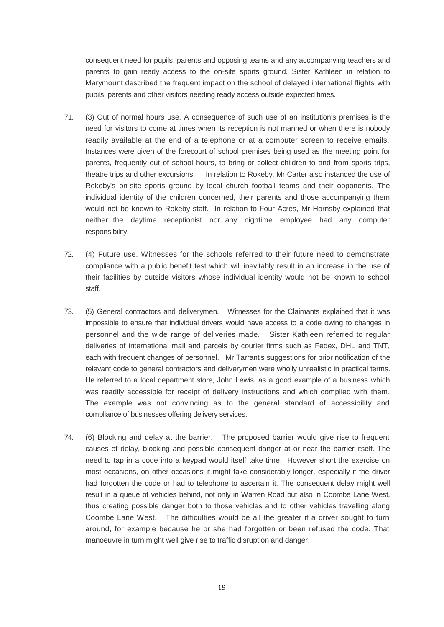consequent need for pupils, parents and opposing teams and any accompanying teachers and parents to gain ready access to the on-site sports ground. Sister Kathleen in relation to Marymount described the frequent impact on the school of delayed international flights with pupils, parents and other visitors needing ready access outside expected times.

- 71. (3) Out of normal hours use. A consequence of such use of an institution's premises is the need for visitors to come at times when its reception is not manned or when there is nobody readily available at the end of a telephone or at a computer screen to receive emails. Instances were given of the forecourt of school premises being used as the meeting point for parents, frequently out of school hours, to bring or collect children to and from sports trips, theatre trips and other excursions. In relation to Rokeby, Mr Carter also instanced the use of Rokeby's on-site sports ground by local church football teams and their opponents. The individual identity of the children concerned, their parents and those accompanying them would not be known to Rokeby staff. In relation to Four Acres, Mr Hornsby explained that neither the daytime receptionist nor any nightime employee had any computer responsibility.
- 72. (4) Future use. Witnesses for the schools referred to their future need to demonstrate compliance with a public benefit test which will inevitably result in an increase in the use of their facilities by outside visitors whose individual identity would not be known to school staff.
- 73. (5) General contractors and deliverymen. Witnesses for the Claimants explained that it was impossible to ensure that individual drivers would have access to a code owing to changes in personnel and the wide range of deliveries made. Sister Kathleen referred to regular deliveries of international mail and parcels by courier firms such as Fedex, DHL and TNT, each with frequent changes of personnel. Mr Tarrant's suggestions for prior notification of the relevant code to general contractors and deliverymen were wholly unrealistic in practical terms. He referred to a local department store, John Lewis, as a good example of a business which was readily accessible for receipt of delivery instructions and which complied with them. The example was not convincing as to the general standard of accessibility and compliance of businesses offering delivery services.
- 74. (6) Blocking and delay at the barrier. The proposed barrier would give rise to frequent causes of delay, blocking and possible consequent danger at or near the barrier itself. The need to tap in a code into a keypad would itself take time. However short the exercise on most occasions, on other occasions it might take considerably longer, especially if the driver had forgotten the code or had to telephone to ascertain it. The consequent delay might well result in a queue of vehicles behind, not only in Warren Road but also in Coombe Lane West, thus creating possible danger both to those vehicles and to other vehicles travelling along Coombe Lane West. The difficulties would be all the greater if a driver sought to turn around, for example because he or she had forgotten or been refused the code. That manoeuvre in turn might well give rise to traffic disruption and danger.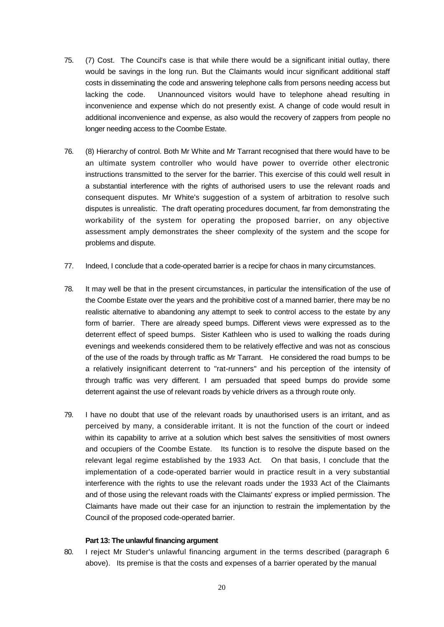- 75. (7) Cost. The Council's case is that while there would be a significant initial outlay, there would be savings in the long run. But the Claimants would incur significant additional staff costs in disseminating the code and answering telephone calls from persons needing access but lacking the code. Unannounced visitors would have to telephone ahead resulting in inconvenience and expense which do not presently exist. A change of code would result in additional inconvenience and expense, as also would the recovery of zappers from people no longer needing access to the Coombe Estate.
- 76. (8) Hierarchy of control. Both Mr White and Mr Tarrant recognised that there would have to be an ultimate system controller who would have power to override other electronic instructions transmitted to the server for the barrier. This exercise of this could well result in a substantial interference with the rights of authorised users to use the relevant roads and consequent disputes. Mr White's suggestion of a system of arbitration to resolve such disputes is unrealistic. The draft operating procedures document, far from demonstrating the workability of the system for operating the proposed barrier, on any objective assessment amply demonstrates the sheer complexity of the system and the scope for problems and dispute.
- 77. Indeed, I conclude that a code-operated barrier is a recipe for chaos in many circumstances.
- 78. It may well be that in the present circumstances, in particular the intensification of the use of the Coombe Estate over the years and the prohibitive cost of a manned barrier, there may be no realistic alternative to abandoning any attempt to seek to control access to the estate by any form of barrier. There are already speed bumps. Different views were expressed as to the deterrent effect of speed bumps. Sister Kathleen who is used to walking the roads during evenings and weekends considered them to be relatively effective and was not as conscious of the use of the roads by through traffic as Mr Tarrant. He considered the road bumps to be a relatively insignificant deterrent to "rat-runners" and his perception of the intensity of through traffic was very different. I am persuaded that speed bumps do provide some deterrent against the use of relevant roads by vehicle drivers as a through route only.
- 79. I have no doubt that use of the relevant roads by unauthorised users is an irritant, and as perceived by many, a considerable irritant. It is not the function of the court or indeed within its capability to arrive at a solution which best salves the sensitivities of most owners and occupiers of the Coombe Estate. Its function is to resolve the dispute based on the relevant legal regime established by the 1933 Act. On that basis, I conclude that the implementation of a code-operated barrier would in practice result in a very substantial interference with the rights to use the relevant roads under the 1933 Act of the Claimants and of those using the relevant roads with the Claimants' express or implied permission. The Claimants have made out their case for an injunction to restrain the implementation by the Council of the proposed code-operated barrier.

#### **Part 13: The unlawful financing argument**

80. I reject Mr Studer's unlawful financing argument in the terms described (paragraph 6 above). Its premise is that the costs and expenses of a barrier operated by the manual